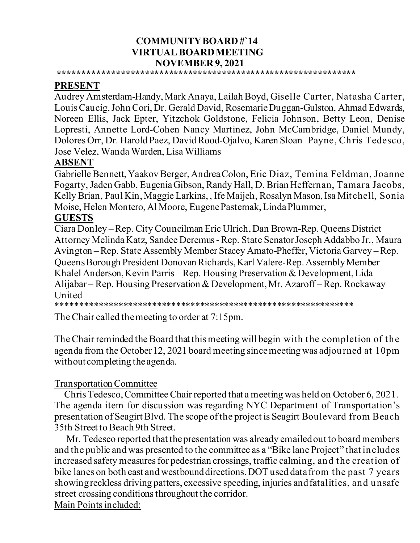#### **COMMUNITY BOARD #`14 VIRTUAL BOARD MEETING NOVEMBER 9, 2021**

**\*\*\*\*\*\*\*\*\*\*\*\*\*\*\*\*\*\*\*\*\*\*\*\*\*\*\*\*\*\*\*\*\*\*\*\*\*\*\*\*\*\*\*\*\*\*\*\*\*\*\*\*\*\*\*\*\*\*\*\*\*\***

## **PRESENT**

Audrey Amsterdam-Handy,Mark Anaya, Lailah Boyd, Giselle Carter, Natasha Carter, Louis Caucig,John Cori, Dr. Gerald David, Rosemarie Duggan-Gulston, Ahmad Edwards, Noreen Ellis, Jack Epter, Yitzchok Goldstone, Felicia Johnson, Betty Leon, Denise Lopresti, Annette Lord-Cohen Nancy Martinez, John McCambridge, Daniel Mundy, Dolores Orr, Dr. Harold Paez, David Rood-Ojalvo, Karen Sloan–Payne, Chris Tedesco, Jose Velez, Wanda Warden, Lisa Williams

## **ABSENT**

Gabrielle Bennett,Yaakov Berger, Andrea Colon, Eric Diaz, Temina Feldman, Joanne Fogarty, Jaden Gabb, Eugenia Gibson, Randy Hall, D. Brian Heffernan, Tamara Jacobs, Kelly Brian, Paul Kin, Maggie Larkins, , Ife Maijeh, Rosalyn Mason, Isa Mitchell, Sonia Moise, Helen Montero,Al Moore, Eugene Pasternak,Linda Plummer,

#### **GUESTS**

Ciara Donley – Rep. City Councilman Eric Ulrich, Dan Brown-Rep. Queens District Attorney Melinda Katz, Sandee Deremus - Rep. State Senator Joseph Addabbo Jr., Maura Avington – Rep. State Assembly Member Stacey Amato-Pheffer, Victoria Garvey – Rep. Queens Borough President Donovan Richards, Karl Valere-Rep. Assembly Member Khalel Anderson, Kevin Parris – Rep. Housing Preservation & Development, Lida Alijabar – Rep. Housing Preservation & Development, Mr. Azaroff – Rep. Rockaway United

\*\*\*\*\*\*\*\*\*\*\*\*\*\*\*\*\*\*\*\*\*\*\*\*\*\*\*\*\*\*\*\*\*\*\*\*\*\*\*\*\*\*\*\*\*\*\*\*\*\*\*\*\*\*\*\*\*\*\*\*\*\*

The Chair called the meeting to order at 7:15pm.

The Chair reminded the Board that this meeting will begin with the completion of the agenda from the October 12, 2021 board meeting since meeting was adjourned at 10pm without completing the agenda.

#### Transportation Committee

 Chris Tedesco, Committee Chair reported that a meeting was held on October 6, 2021. The agenda item for discussion was regarding NYC Department of Transportation's presentation of Seagirt Blvd. The scope of the project is Seagirt Boulevard from Beach 35th Street to Beach 9th Street.

 Mr. Tedesco reported that the presentation was already emailed out to board members and the public and was presented to the committee as a "Bike lane Project" that includes increased safety measures for pedestrian crossings, traffic calming, and the creation of bike lanes on both east and westbound directions. DOT used data from the past 7 years showing reckless driving patters, excessive speeding, injuries and fatalities, and unsafe street crossing conditions throughout the corridor. Main Points included: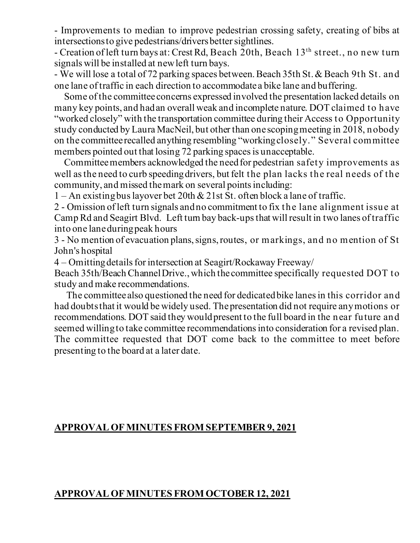- Improvements to median to improve pedestrian crossing safety, creating of bibs at intersections to give pedestrians/drivers better sightlines.

- Creation of left turn bays at: Crest Rd, Beach 20th, Beach 13<sup>th</sup> street., no new turn signals will be installed at new left turn bays.

- We will lose a total of 72 parking spaces between. Beach 35th St. & Beach 9th St. and one lane of traffic in each direction to accommodate a bike lane and buffering.

 Some of the committee concerns expressed involved the presentation lacked details on many key points, and had an overall weak and incomplete nature. DOT claimed to have "worked closely" with the transportation committee during their Access to Opportunity study conducted by Laura MacNeil, but other than one scoping meeting in 2018, nobody on the committee recalled anything resembling "working closely." Several committee members pointed out that losing 72 parking spaces is unacceptable.

 Committee members acknowledged the need for pedestrian safety improvements as well as the need to curb speeding drivers, but felt the plan lacks the real needs of the community, and missed the mark on several points including:

1 – An existing bus layover bet 20th  $\&$  21st St. often block a lane of traffic.

2 - Omission of left turn signals and no commitment to fix the lane alignment issue at Camp Rd and Seagirt Blvd. Left turn bay back-ups that will result in two lanes of traffic into one lane during peak hours

3 - No mention of evacuation plans, signs, routes, or markings, and no mention of St John's hospital

4 – Omittingdetails for intersection at Seagirt/Rockaway Freeway/

Beach 35th/Beach Channel Drive., which the committee specifically requested DOT to study and make recommendations.

 The committee also questioned the need for dedicated bike lanes in this corridor and had doubts that it would be widely used. The presentation did not require any motions or recommendations. DOT said they would present to the full board in the near future and seemed willing to take committee recommendations into consideration for a revised plan. The committee requested that DOT come back to the committee to meet before presenting to the board at a later date.

## **APPROVAL OF MINUTES FROM SEPTEMBER 9, 2021**

#### **APPROVAL OF MINUTES FROM OCTOBER 12, 2021**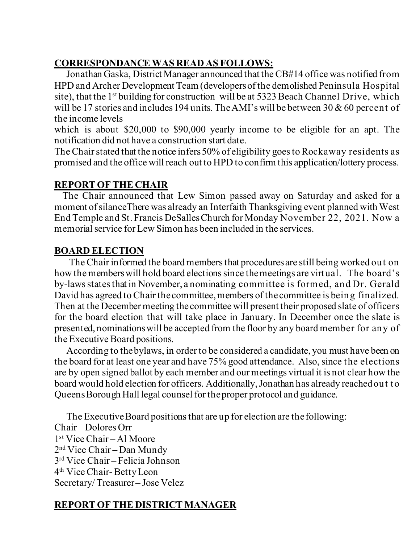# **CORRESPONDANCE WAS READ AS FOLLOWS:**

 Jonathan Gaska, District Manager announced that the CB#14 office was notified from HPD and Archer Development Team (developers of the demolished Peninsula Hospital site), that the 1<sup>st</sup> building for construction will be at 5323 Beach Channel Drive, which will be 17 stories and includes 194 units. The AMI's will be between 30 & 60 percent of the income levels

which is about \$20,000 to \$90,000 yearly income to be eligible for an apt. The notification did not have a construction start date.

The Chair stated that the notice infers 50% of eligibility goes to Rockaway residents as promised and the office will reach out to HPD to confirm this application/lottery process.

### **REPORT OF THE CHAIR**

 The Chair announced that Lew Simon passed away on Saturday and asked for a moment of silanceThere was already an Interfaith Thanksgiving event planned with West End Temple and St. Francis DeSalles Church for Monday November 22, 2021. Now a memorial service for Lew Simon has been included in the services.

### **BOARD ELECTION**

The Chair informed the board members that procedures are still being worked out on how the members will hold board elections since the meetings are virtual. The board's by-lawsstatesthat in November, a nominating committee is formed, and Dr. Gerald David has agreed to Chair the committee, members of the committee is being finalized. Then at the December meeting the committee will present their proposed slate of officers for the board election that will take place in January. In December once the slate is presented, nominations will be accepted from the floor by any board member for any of the Executive Board positions.

 According to the bylaws, in order to be considered a candidate, you must have been on the board for at least one year and have 75% good attendance. Also, since the elections are by open signed ballot by each member and our meetings virtual it is not clear how the board would hold election for officers. Additionally,Jonathan has already reached out to Queens Borough Hall legal counsel for the proper protocol and guidance.

 The Executive Board positions that are up for election are the following: Chair – Dolores Orr 1st Vice Chair – Al Moore 2nd Vice Chair – Dan Mundy 3rd Vice Chair – Felicia Johnson 4th Vice Chair- Betty Leon Secretary/ Treasurer– Jose Velez

# **REPORT OF THE DISTRICT MANAGER**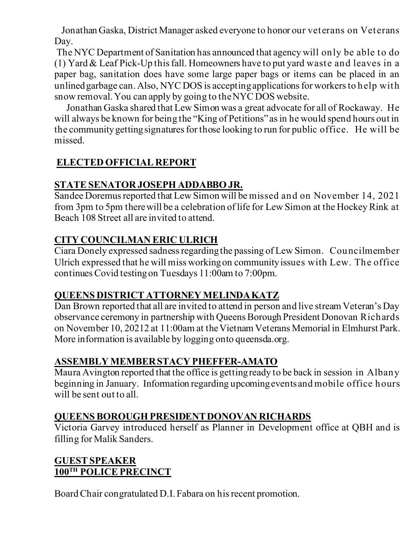Jonathan Gaska, District Manager asked everyone to honor our veterans on Veterans Day.

The NYC Department of Sanitation has announced that agency will only be able to do (1) Yard & Leaf Pick-Up this fall. Homeowners have to put yard waste and leaves in a paper bag, sanitation does have some large paper bags or items can be placed in an unlined garbage can. Also, NYC DOS is accepting applications for workers to help with snow removal. You can apply by going to the NYC DOS website.

 Jonathan Gaska shared that Lew Simon was a great advocate for all of Rockaway. He will always be known for being the "King of Petitions" as in he would spend hours out in the community getting signatures for those looking to run for public office. He will be missed.

## **ELECTED OFFICIAL REPORT**

## **STATE SENATOR JOSEPH ADDABBO JR.**

Sandee Doremus reported that Lew Simon will be missed and on November 14, 2021 from 3pm to 5pm there will be a celebration of life for Lew Simon at the Hockey Rink at Beach 108 Street all are invited to attend.

## **CITY COUNCILMAN ERIC ULRICH**

Ciara Donely expressed sadness regarding the passing of Lew Simon. Councilmember Ulrich expressed that he will miss working on community issues with Lew. The office continues Covid testing on Tuesdays 11:00am to 7:00pm.

# **QUEENS DISTRICT ATTORNEY MELINDA KATZ**

Dan Brown reported that all are invited to attend in person and live stream Veteran's Day observance ceremony in partnership with Queens Borough President Donovan Richards on November 10, 20212 at 11:00am at the Vietnam Veterans Memorial in Elmhurst Park. More information is available by logging onto queensda.org.

# **ASSEMBLY MEMBER STACY PHEFFER-AMATO**

Maura Avington reported that the office is getting ready to be back in session in Albany beginning in January. Information regarding upcoming events and mobile office hours will be sent out to all.

## **QUEENS BOROUGH PRESIDENT DONOVAN RICHARDS**

Victoria Garvey introduced herself as Planner in Development office at QBH and is filling for Malik Sanders.

## **GUEST SPEAKER 100TH POLICE PRECINCT**

Board Chair congratulated D.I. Fabara on his recent promotion.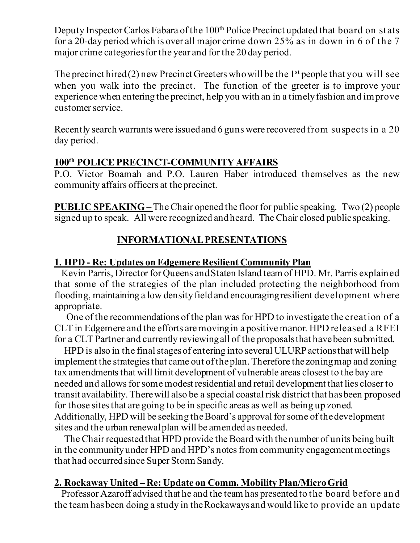Deputy Inspector Carlos Fabara of the 100<sup>th</sup> Police Precinct updated that board on stats for a 20-day period which is over all major crime down 25% as in down in 6 of the 7 major crime categories for the year and for the 20 day period.

The precinct hired  $(2)$  new Precinct Greeters who will be the 1<sup>st</sup> people that you will see when you walk into the precinct. The function of the greeter is to improve your experience when entering the precinct, help you with an in a timely fashion and improve customer service.

Recently search warrants were issued and 6 guns were recovered from suspects in a 20 day period.

### **100th POLICE PRECINCT-COMMUNITY AFFAIRS**

P.O. Victor Boamah and P.O. Lauren Haber introduced themselves as the new community affairs officers at the precinct.

**PUBLIC SPEAKING –** The Chair opened the floor for public speaking. Two (2) people signed up to speak. All were recognized and heard. The Chair closed public speaking.

# **INFORMATIONAL PRESENTATIONS**

### **1. HPD - Re: Updates on Edgemere Resilient Community Plan**

 Kevin Parris, Director for Queens and Staten Island team of HPD. Mr. Parris explained that some of the strategies of the plan included protecting the neighborhood from flooding, maintaining a low density field and encouraging resilient development where appropriate.

 One of the recommendations of the plan was for HPD to investigate the creation of a CLT in Edgemere and the efforts are moving in a positive manor. HPD released a RFEI for a CLT Partner and currently reviewing all of the proposals that have been submitted.

 HPD is also in the final stages of entering into several ULURP actionsthat will help implement the strategies that came out of the plan. Therefore the zoning map and zoning tax amendments that will limit development of vulnerable areas closest to the bay are needed and allows for some modest residential and retail development that lies closer to transit availability. Therewill also be a special coastal risk district that has been proposed for those sites that are going to be in specific areas as well as being up zoned. Additionally, HPD will be seeking the Board's approval for some of the development sites and the urban renewal plan will be amended as needed.

 The Chair requested that HPD provide the Board with the number of units being built in the community under HPD and HPD's notes from community engagement meetings that had occurred since Super Storm Sandy.

#### **2. Rockaway United – Re: Update on Comm. Mobility Plan/Micro Grid**

 Professor Azaroff advised that he and the team has presented to the board before and the team has been doing a study in theRockaways and would like to provide an update